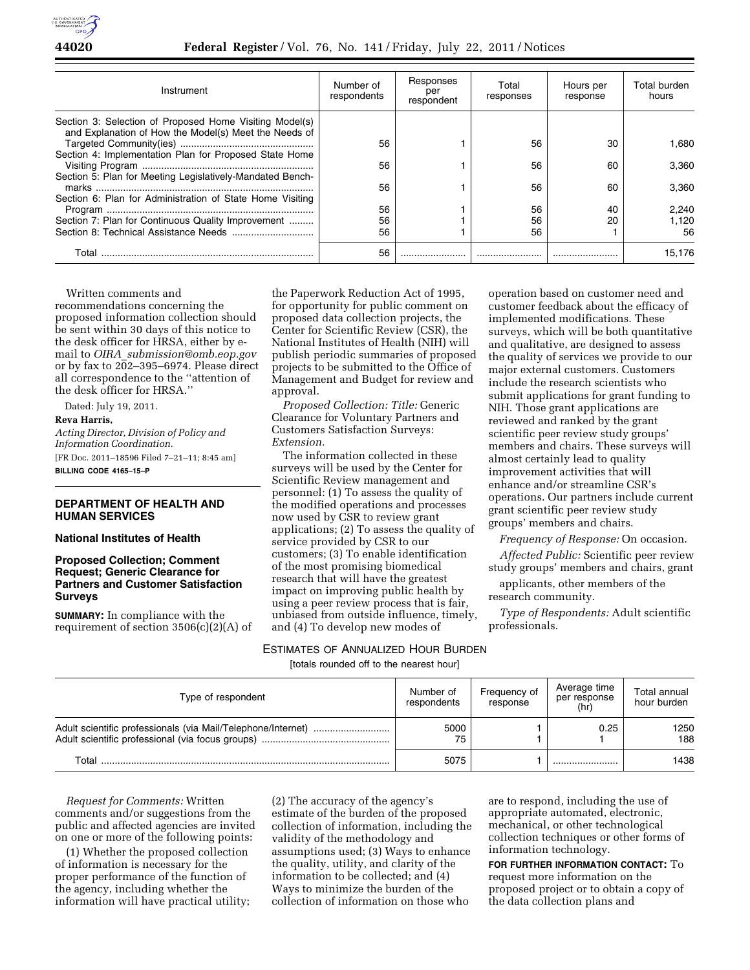

### **44020 Federal Register** / Vol. 76, No. 141 / Friday, July 22, 2011 / Notices

| Instrument                                                                                                       | Number of<br>respondents | Responses<br>per<br>respondent | Total<br>responses | Hours per<br>response | Total burden<br>hours |
|------------------------------------------------------------------------------------------------------------------|--------------------------|--------------------------------|--------------------|-----------------------|-----------------------|
| Section 3: Selection of Proposed Home Visiting Model(s)<br>and Explanation of How the Model(s) Meet the Needs of | 56                       |                                | 56                 | 30                    |                       |
| Section 4: Implementation Plan for Proposed State Home                                                           |                          |                                |                    |                       | 1.680                 |
|                                                                                                                  | 56                       |                                | 56                 | 60                    | 3.360                 |
| Section 5: Plan for Meeting Legislatively-Mandated Bench-                                                        | 56                       |                                | 56                 | 60                    | 3.360                 |
| Section 6: Plan for Administration of State Home Visiting                                                        |                          |                                |                    |                       |                       |
|                                                                                                                  | 56                       |                                | 56                 | 40                    | 2.240                 |
| Section 7: Plan for Continuous Quality Improvement                                                               | 56                       |                                | 56                 | 20                    | 1.120                 |
|                                                                                                                  | 56                       |                                | 56                 |                       | 56                    |
| Total                                                                                                            | 56                       |                                |                    |                       | 15.176                |

Written comments and

recommendations concerning the proposed information collection should be sent within 30 days of this notice to the desk officer for HRSA, either by email to *OIRA*\_*[submission@omb.eop.gov](mailto:OIRA_submission@omb.eop.gov)*  or by fax to 202–395–6974. Please direct all correspondence to the ''attention of the desk officer for HRSA.''

Dated: July 19, 2011.

#### **Reva Harris,**

*Acting Director, Division of Policy and Information Coordination.*  [FR Doc. 2011–18596 Filed 7–21–11; 8:45 am] **BILLING CODE 4165–15–P** 

# **DEPARTMENT OF HEALTH AND HUMAN SERVICES**

## **National Institutes of Health**

# **Proposed Collection; Comment Request; Generic Clearance for Partners and Customer Satisfaction Surveys**

**SUMMARY:** In compliance with the requirement of section 3506(c)(2)(A) of the Paperwork Reduction Act of 1995, for opportunity for public comment on proposed data collection projects, the Center for Scientific Review (CSR), the National Institutes of Health (NIH) will publish periodic summaries of proposed projects to be submitted to the Office of Management and Budget for review and approval.

*Proposed Collection: Title:* Generic Clearance for Voluntary Partners and Customers Satisfaction Surveys: *Extension.* 

The information collected in these surveys will be used by the Center for Scientific Review management and personnel: (1) To assess the quality of the modified operations and processes now used by CSR to review grant applications; (2) To assess the quality of service provided by CSR to our customers; (3) To enable identification of the most promising biomedical research that will have the greatest impact on improving public health by using a peer review process that is fair, unbiased from outside influence, timely, and (4) To develop new modes of

ESTIMATES OF ANNUALIZED HOUR BURDEN

[totals rounded off to the nearest hour]

operation based on customer need and customer feedback about the efficacy of implemented modifications. These surveys, which will be both quantitative and qualitative, are designed to assess the quality of services we provide to our major external customers. Customers include the research scientists who submit applications for grant funding to NIH. Those grant applications are reviewed and ranked by the grant scientific peer review study groups' members and chairs. These surveys will almost certainly lead to quality improvement activities that will enhance and/or streamline CSR's operations. Our partners include current grant scientific peer review study groups' members and chairs.

*Frequency of Response:* On occasion.

*Affected Public:* Scientific peer review study groups' members and chairs, grant

applicants, other members of the research community.

*Type of Respondents:* Adult scientific professionals.

| Type of respondent | Number of<br>respondents | Frequency of<br>response | Average time<br>per response<br>(hr) | Total annual<br>hour burden |
|--------------------|--------------------------|--------------------------|--------------------------------------|-----------------------------|
|                    | 5000<br>75               |                          | 0.25                                 | 1250<br>188                 |
| Total              | 5075                     |                          |                                      | 1438                        |

*Request for Comments:* Written comments and/or suggestions from the public and affected agencies are invited on one or more of the following points:

(1) Whether the proposed collection of information is necessary for the proper performance of the function of the agency, including whether the information will have practical utility;

(2) The accuracy of the agency's estimate of the burden of the proposed collection of information, including the validity of the methodology and assumptions used; (3) Ways to enhance the quality, utility, and clarity of the information to be collected; and (4) Ways to minimize the burden of the collection of information on those who

are to respond, including the use of appropriate automated, electronic, mechanical, or other technological collection techniques or other forms of information technology.

**FOR FURTHER INFORMATION CONTACT:** To request more information on the proposed project or to obtain a copy of the data collection plans and